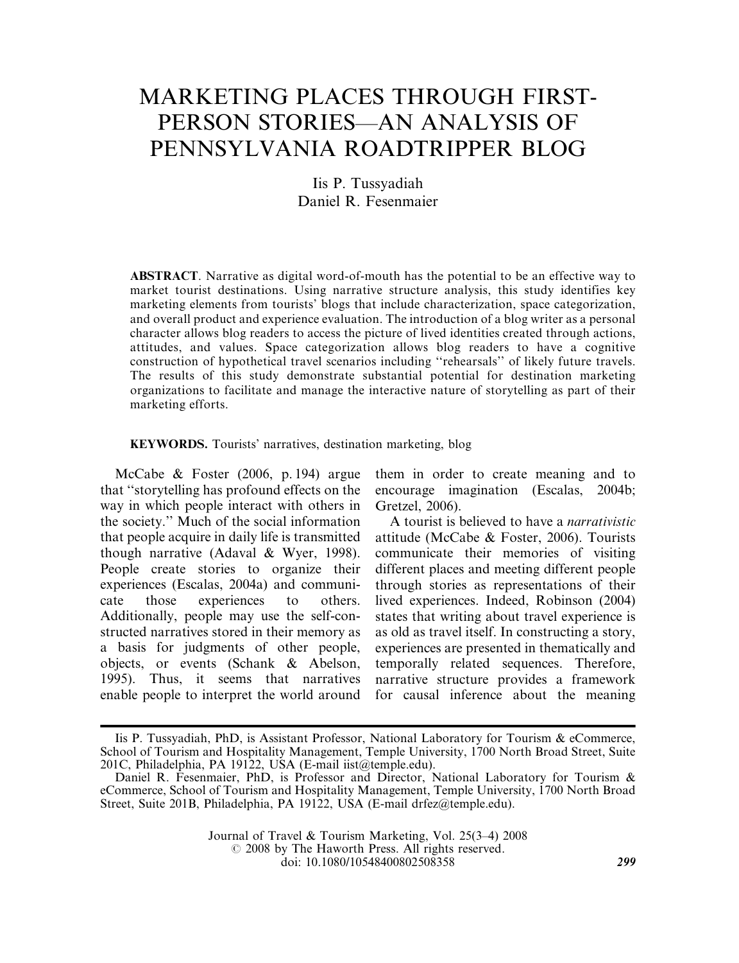# MARKETING PLACES THROUGH FIRST-PERSON STORIES—AN ANALYSIS OF PENNSYLVANIA ROADTRIPPER BLOG

Iis P. Tussyadiah Daniel R. Fesenmaier

ABSTRACT. Narrative as digital word-of-mouth has the potential to be an effective way to market tourist destinations. Using narrative structure analysis, this study identifies key marketing elements from tourists' blogs that include characterization, space categorization, and overall product and experience evaluation. The introduction of a blog writer as a personal character allows blog readers to access the picture of lived identities created through actions, attitudes, and values. Space categorization allows blog readers to have a cognitive construction of hypothetical travel scenarios including ''rehearsals'' of likely future travels. The results of this study demonstrate substantial potential for destination marketing organizations to facilitate and manage the interactive nature of storytelling as part of their marketing efforts.

KEYWORDS. Tourists' narratives, destination marketing, blog

McCabe & Foster (2006, p. 194) argue that ''storytelling has profound effects on the way in which people interact with others in the society.'' Much of the social information that people acquire in daily life is transmitted though narrative (Adaval & Wyer, 1998). People create stories to organize their experiences (Escalas, 2004a) and communicate those experiences to others. Additionally, people may use the self-constructed narratives stored in their memory as a basis for judgments of other people, objects, or events (Schank & Abelson, 1995). Thus, it seems that narratives enable people to interpret the world around them in order to create meaning and to encourage imagination (Escalas, 2004b; Gretzel, 2006).

A tourist is believed to have a narrativistic attitude (McCabe & Foster, 2006). Tourists communicate their memories of visiting different places and meeting different people through stories as representations of their lived experiences. Indeed, Robinson (2004) states that writing about travel experience is as old as travel itself. In constructing a story, experiences are presented in thematically and temporally related sequences. Therefore, narrative structure provides a framework for causal inference about the meaning

Journal of Travel & Tourism Marketing, Vol. 25(3–4) 2008  $Q$  2008 by The Haworth Press. All rights reserved. doi: 10.1080/10548400802508358 299

Iis P. Tussyadiah, PhD, is Assistant Professor, National Laboratory for Tourism & eCommerce, School of Tourism and Hospitality Management, Temple University, 1700 North Broad Street, Suite 201C, Philadelphia, PA 19122, USA (E-mail iist@temple.edu).

Daniel R. Fesenmaier, PhD, is Professor and Director, National Laboratory for Tourism & eCommerce, School of Tourism and Hospitality Management, Temple University, 1700 North Broad Street, Suite 201B, Philadelphia, PA 19122, USA (E-mail drfez@temple.edu).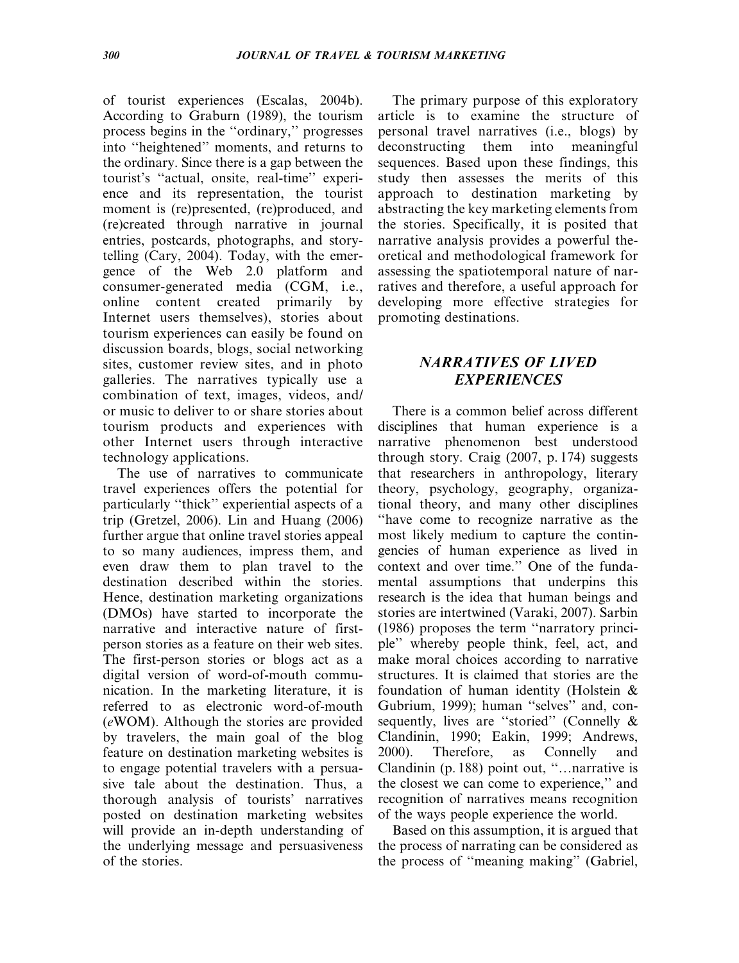of tourist experiences (Escalas, 2004b). According to Graburn (1989), the tourism process begins in the ''ordinary,'' progresses into ''heightened'' moments, and returns to the ordinary. Since there is a gap between the tourist's ''actual, onsite, real-time'' experience and its representation, the tourist moment is (re)presented, (re)produced, and (re)created through narrative in journal entries, postcards, photographs, and storytelling (Cary, 2004). Today, with the emergence of the Web 2.0 platform and consumer-generated media (CGM, i.e., online content created primarily by Internet users themselves), stories about tourism experiences can easily be found on discussion boards, blogs, social networking sites, customer review sites, and in photo galleries. The narratives typically use a combination of text, images, videos, and/ or music to deliver to or share stories about tourism products and experiences with other Internet users through interactive technology applications.

The use of narratives to communicate travel experiences offers the potential for particularly ''thick'' experiential aspects of a trip (Gretzel, 2006). Lin and Huang (2006) further argue that online travel stories appeal to so many audiences, impress them, and even draw them to plan travel to the destination described within the stories. Hence, destination marketing organizations (DMOs) have started to incorporate the narrative and interactive nature of firstperson stories as a feature on their web sites. The first-person stories or blogs act as a digital version of word-of-mouth communication. In the marketing literature, it is referred to as electronic word-of-mouth (eWOM). Although the stories are provided by travelers, the main goal of the blog feature on destination marketing websites is to engage potential travelers with a persuasive tale about the destination. Thus, a thorough analysis of tourists' narratives posted on destination marketing websites will provide an in-depth understanding of the underlying message and persuasiveness of the stories.

The primary purpose of this exploratory article is to examine the structure of personal travel narratives (i.e., blogs) by deconstructing them into meaningful sequences. Based upon these findings, this study then assesses the merits of this approach to destination marketing by abstracting the key marketing elements from the stories. Specifically, it is posited that narrative analysis provides a powerful theoretical and methodological framework for assessing the spatiotemporal nature of narratives and therefore, a useful approach for developing more effective strategies for promoting destinations.

# NARRATIVES OF LIVED **EXPERIENCES**

There is a common belief across different disciplines that human experience is a narrative phenomenon best understood through story. Craig (2007, p. 174) suggests that researchers in anthropology, literary theory, psychology, geography, organizational theory, and many other disciplines ''have come to recognize narrative as the most likely medium to capture the contingencies of human experience as lived in context and over time.'' One of the fundamental assumptions that underpins this research is the idea that human beings and stories are intertwined (Varaki, 2007). Sarbin (1986) proposes the term ''narratory principle'' whereby people think, feel, act, and make moral choices according to narrative structures. It is claimed that stories are the foundation of human identity (Holstein & Gubrium, 1999); human "selves" and, consequently, lives are "storied" (Connelly & Clandinin, 1990; Eakin, 1999; Andrews, 2000). Therefore, as Connelly and Clandinin (p. 188) point out, ''…narrative is the closest we can come to experience,'' and recognition of narratives means recognition of the ways people experience the world.

Based on this assumption, it is argued that the process of narrating can be considered as the process of ''meaning making'' (Gabriel,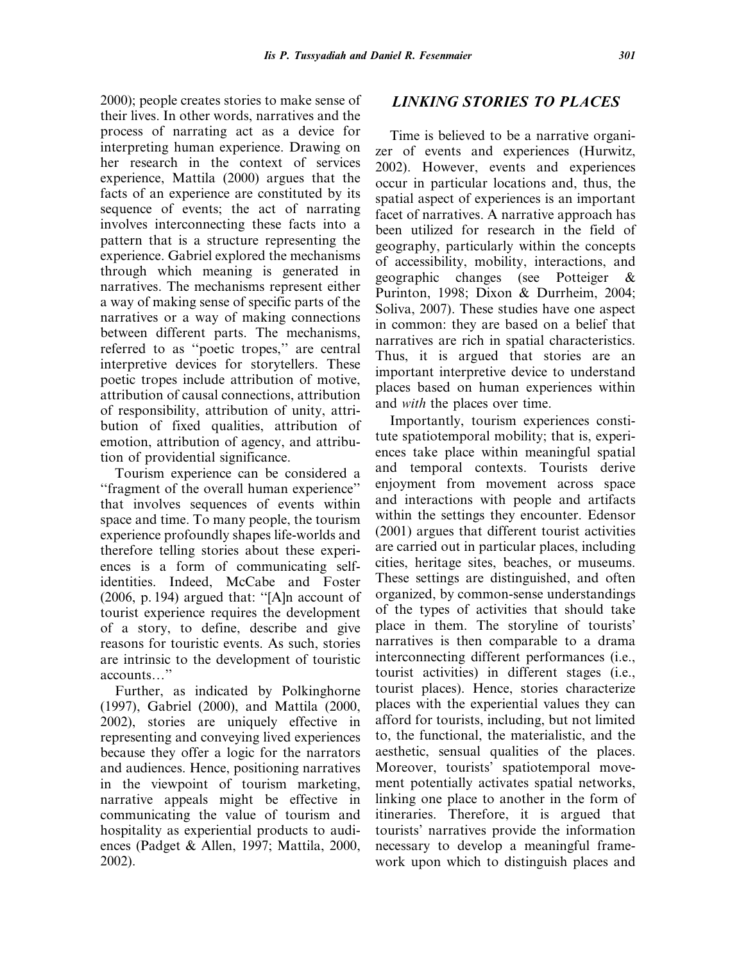2000); people creates stories to make sense of their lives. In other words, narratives and the process of narrating act as a device for interpreting human experience. Drawing on her research in the context of services experience, Mattila (2000) argues that the facts of an experience are constituted by its sequence of events; the act of narrating involves interconnecting these facts into a pattern that is a structure representing the experience. Gabriel explored the mechanisms through which meaning is generated in narratives. The mechanisms represent either a way of making sense of specific parts of the narratives or a way of making connections between different parts. The mechanisms, referred to as ''poetic tropes,'' are central interpretive devices for storytellers. These poetic tropes include attribution of motive, attribution of causal connections, attribution of responsibility, attribution of unity, attribution of fixed qualities, attribution of emotion, attribution of agency, and attribution of providential significance.

Tourism experience can be considered a ''fragment of the overall human experience'' that involves sequences of events within space and time. To many people, the tourism experience profoundly shapes life-worlds and therefore telling stories about these experiences is a form of communicating selfidentities. Indeed, McCabe and Foster (2006, p. 194) argued that: ''[A]n account of tourist experience requires the development of a story, to define, describe and give reasons for touristic events. As such, stories are intrinsic to the development of touristic accounts…''

Further, as indicated by Polkinghorne (1997), Gabriel (2000), and Mattila (2000, 2002), stories are uniquely effective in representing and conveying lived experiences because they offer a logic for the narrators and audiences. Hence, positioning narratives in the viewpoint of tourism marketing, narrative appeals might be effective in communicating the value of tourism and hospitality as experiential products to audiences (Padget & Allen, 1997; Mattila, 2000, 2002).

## LINKING STORIES TO PLACES

Time is believed to be a narrative organizer of events and experiences (Hurwitz, 2002). However, events and experiences occur in particular locations and, thus, the spatial aspect of experiences is an important facet of narratives. A narrative approach has been utilized for research in the field of geography, particularly within the concepts of accessibility, mobility, interactions, and geographic changes (see Potteiger & Purinton, 1998; Dixon & Durrheim, 2004; Soliva, 2007). These studies have one aspect in common: they are based on a belief that narratives are rich in spatial characteristics. Thus, it is argued that stories are an important interpretive device to understand places based on human experiences within and with the places over time.

Importantly, tourism experiences constitute spatiotemporal mobility; that is, experiences take place within meaningful spatial and temporal contexts. Tourists derive enjoyment from movement across space and interactions with people and artifacts within the settings they encounter. Edensor (2001) argues that different tourist activities are carried out in particular places, including cities, heritage sites, beaches, or museums. These settings are distinguished, and often organized, by common-sense understandings of the types of activities that should take place in them. The storyline of tourists' narratives is then comparable to a drama interconnecting different performances (i.e., tourist activities) in different stages (i.e., tourist places). Hence, stories characterize places with the experiential values they can afford for tourists, including, but not limited to, the functional, the materialistic, and the aesthetic, sensual qualities of the places. Moreover, tourists' spatiotemporal movement potentially activates spatial networks, linking one place to another in the form of itineraries. Therefore, it is argued that tourists' narratives provide the information necessary to develop a meaningful framework upon which to distinguish places and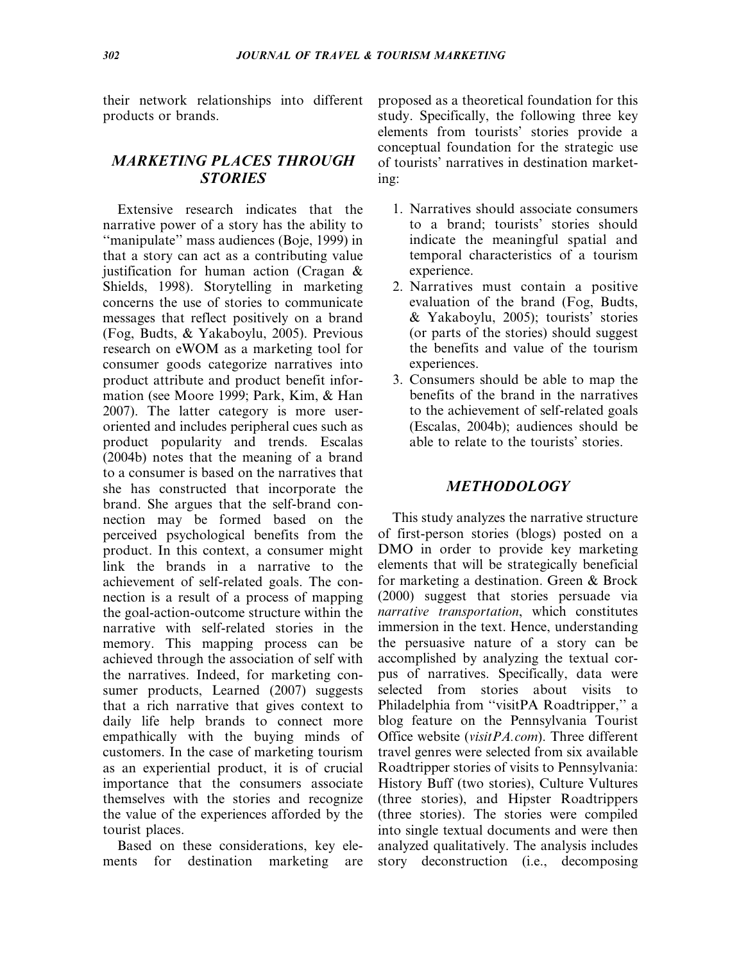their network relationships into different products or brands.

# MARKETING PLACES THROUGH **STORIES**

Extensive research indicates that the narrative power of a story has the ability to ''manipulate'' mass audiences (Boje, 1999) in that a story can act as a contributing value justification for human action (Cragan & Shields, 1998). Storytelling in marketing concerns the use of stories to communicate messages that reflect positively on a brand (Fog, Budts, & Yakaboylu, 2005). Previous research on eWOM as a marketing tool for consumer goods categorize narratives into product attribute and product benefit information (see Moore 1999; Park, Kim, & Han 2007). The latter category is more useroriented and includes peripheral cues such as product popularity and trends. Escalas (2004b) notes that the meaning of a brand to a consumer is based on the narratives that she has constructed that incorporate the brand. She argues that the self-brand connection may be formed based on the perceived psychological benefits from the product. In this context, a consumer might link the brands in a narrative to the achievement of self-related goals. The connection is a result of a process of mapping the goal-action-outcome structure within the narrative with self-related stories in the memory. This mapping process can be achieved through the association of self with the narratives. Indeed, for marketing consumer products, Learned (2007) suggests that a rich narrative that gives context to daily life help brands to connect more empathically with the buying minds of customers. In the case of marketing tourism as an experiential product, it is of crucial importance that the consumers associate themselves with the stories and recognize the value of the experiences afforded by the tourist places.

Based on these considerations, key elements for destination marketing are proposed as a theoretical foundation for this study. Specifically, the following three key elements from tourists' stories provide a conceptual foundation for the strategic use of tourists' narratives in destination marketing:

- 1. Narratives should associate consumers to a brand; tourists' stories should indicate the meaningful spatial and temporal characteristics of a tourism experience.
- 2. Narratives must contain a positive evaluation of the brand (Fog, Budts, & Yakaboylu, 2005); tourists' stories (or parts of the stories) should suggest the benefits and value of the tourism experiences.
- 3. Consumers should be able to map the benefits of the brand in the narratives to the achievement of self-related goals (Escalas, 2004b); audiences should be able to relate to the tourists' stories.

#### METHODOLOGY

This study analyzes the narrative structure of first-person stories (blogs) posted on a DMO in order to provide key marketing elements that will be strategically beneficial for marketing a destination. Green & Brock (2000) suggest that stories persuade via narrative transportation, which constitutes immersion in the text. Hence, understanding the persuasive nature of a story can be accomplished by analyzing the textual corpus of narratives. Specifically, data were selected from stories about visits to Philadelphia from ''visitPA Roadtripper,'' a blog feature on the Pennsylvania Tourist Office website (visitPA.com). Three different travel genres were selected from six available Roadtripper stories of visits to Pennsylvania: History Buff (two stories), Culture Vultures (three stories), and Hipster Roadtrippers (three stories). The stories were compiled into single textual documents and were then analyzed qualitatively. The analysis includes story deconstruction (i.e., decomposing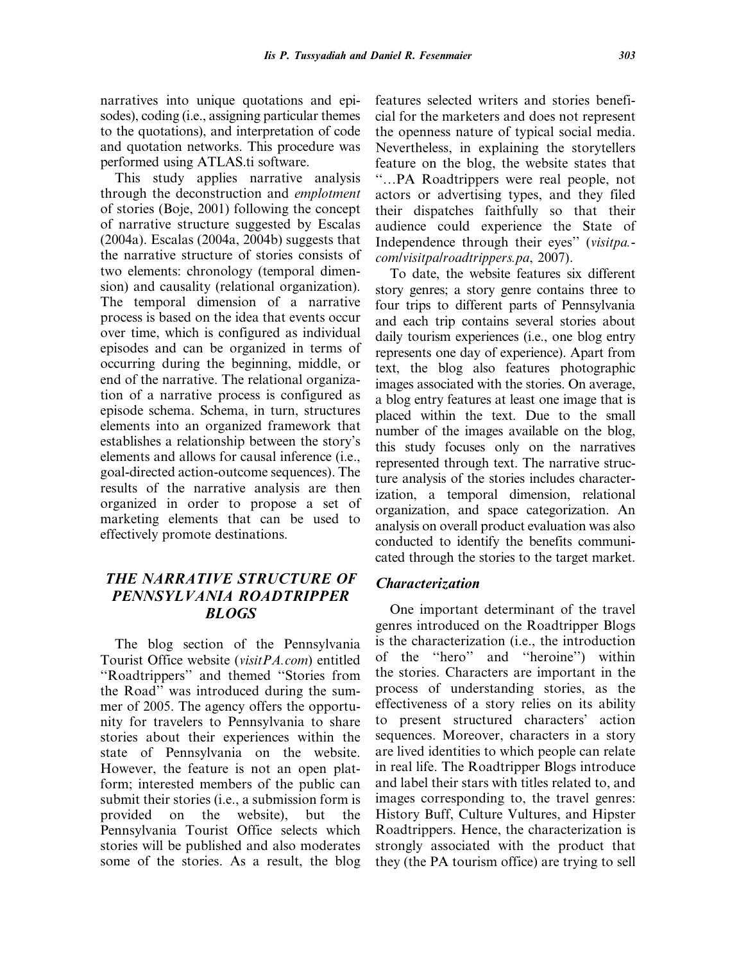narratives into unique quotations and episodes), coding (i.e., assigning particular themes to the quotations), and interpretation of code and quotation networks. This procedure was performed using ATLAS.ti software.

This study applies narrative analysis through the deconstruction and emplotment of stories (Boje, 2001) following the concept of narrative structure suggested by Escalas (2004a). Escalas (2004a, 2004b) suggests that the narrative structure of stories consists of two elements: chronology (temporal dimension) and causality (relational organization). The temporal dimension of a narrative process is based on the idea that events occur over time, which is configured as individual episodes and can be organized in terms of occurring during the beginning, middle, or end of the narrative. The relational organization of a narrative process is configured as episode schema. Schema, in turn, structures elements into an organized framework that establishes a relationship between the story's elements and allows for causal inference (i.e., goal-directed action-outcome sequences). The results of the narrative analysis are then organized in order to propose a set of marketing elements that can be used to effectively promote destinations.

# THE NARRATIVE STRUCTURE OF PENNSYLVANIA ROADTRIPPER BLOGS

The blog section of the Pennsylvania Tourist Office website (visitPA.com) entitled ''Roadtrippers'' and themed ''Stories from the Road'' was introduced during the summer of 2005. The agency offers the opportunity for travelers to Pennsylvania to share stories about their experiences within the state of Pennsylvania on the website. However, the feature is not an open platform; interested members of the public can submit their stories (i.e., a submission form is provided on the website), but the Pennsylvania Tourist Office selects which stories will be published and also moderates some of the stories. As a result, the blog features selected writers and stories beneficial for the marketers and does not represent the openness nature of typical social media. Nevertheless, in explaining the storytellers feature on the blog, the website states that ''…PA Roadtrippers were real people, not actors or advertising types, and they filed their dispatches faithfully so that their audience could experience the State of Independence through their eyes'' (visitpa. com/visitpa/roadtrippers.pa, 2007).

To date, the website features six different story genres; a story genre contains three to four trips to different parts of Pennsylvania and each trip contains several stories about daily tourism experiences (i.e., one blog entry represents one day of experience). Apart from text, the blog also features photographic images associated with the stories. On average, a blog entry features at least one image that is placed within the text. Due to the small number of the images available on the blog, this study focuses only on the narratives represented through text. The narrative structure analysis of the stories includes characterization, a temporal dimension, relational organization, and space categorization. An analysis on overall product evaluation was also conducted to identify the benefits communicated through the stories to the target market.

#### Characterization

One important determinant of the travel genres introduced on the Roadtripper Blogs is the characterization (i.e., the introduction of the ''hero'' and ''heroine'') within the stories. Characters are important in the process of understanding stories, as the effectiveness of a story relies on its ability to present structured characters' action sequences. Moreover, characters in a story are lived identities to which people can relate in real life. The Roadtripper Blogs introduce and label their stars with titles related to, and images corresponding to, the travel genres: History Buff, Culture Vultures, and Hipster Roadtrippers. Hence, the characterization is strongly associated with the product that they (the PA tourism office) are trying to sell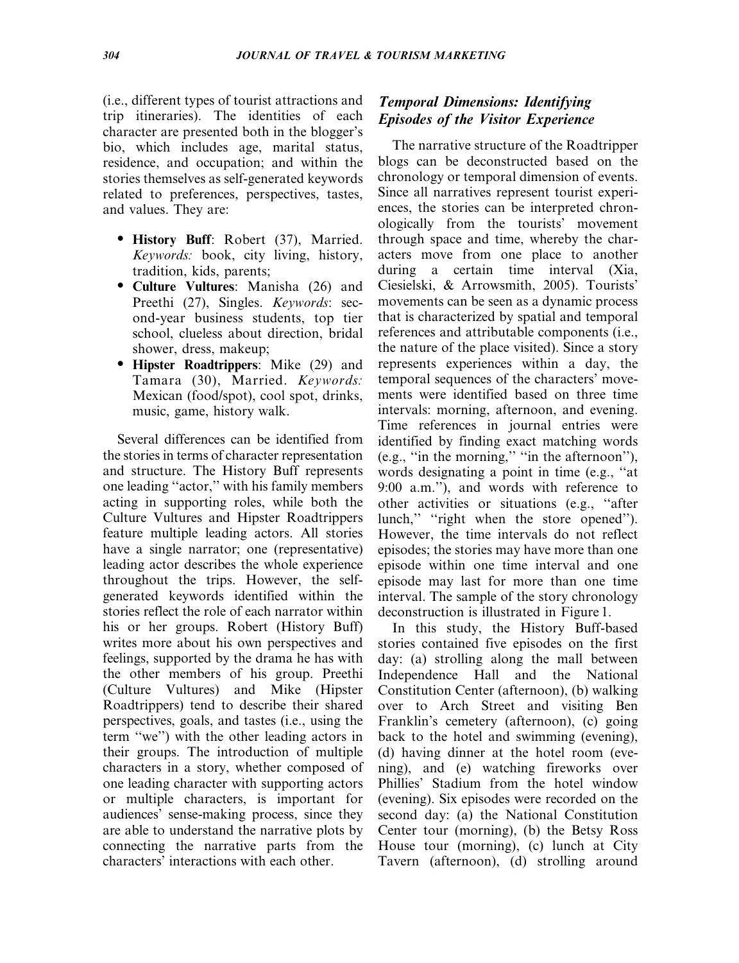(i.e., different types of tourist attractions and trip itineraries). The identities of each character are presented both in the blogger's bio, which includes age, marital status, residence, and occupation; and within the stories themselves as self-generated keywords related to preferences, perspectives, tastes, and values. They are:

- History Buff: Robert (37), Married. Keywords: book, city living, history, tradition, kids, parents;
- Culture Vultures: Manisha (26) and Preethi (27), Singles. Keywords: second-year business students, top tier school, clueless about direction, bridal shower, dress, makeup;
- Hipster Roadtrippers: Mike (29) and Tamara (30), Married. Keywords: Mexican (food/spot), cool spot, drinks, music, game, history walk.

Several differences can be identified from the stories in terms of character representation and structure. The History Buff represents one leading ''actor,'' with his family members acting in supporting roles, while both the Culture Vultures and Hipster Roadtrippers feature multiple leading actors. All stories have a single narrator; one (representative) leading actor describes the whole experience throughout the trips. However, the selfgenerated keywords identified within the stories reflect the role of each narrator within his or her groups. Robert (History Buff) writes more about his own perspectives and feelings, supported by the drama he has with the other members of his group. Preethi (Culture Vultures) and Mike (Hipster Roadtrippers) tend to describe their shared perspectives, goals, and tastes (i.e., using the term ''we'') with the other leading actors in their groups. The introduction of multiple characters in a story, whether composed of one leading character with supporting actors or multiple characters, is important for audiences' sense-making process, since they are able to understand the narrative plots by connecting the narrative parts from the characters' interactions with each other.

# Temporal Dimensions: Identifying Episodes of the Visitor Experience

The narrative structure of the Roadtripper blogs can be deconstructed based on the chronology or temporal dimension of events. Since all narratives represent tourist experiences, the stories can be interpreted chronologically from the tourists' movement through space and time, whereby the characters move from one place to another during a certain time interval (Xia, Ciesielski, & Arrowsmith, 2005). Tourists' movements can be seen as a dynamic process that is characterized by spatial and temporal references and attributable components (i.e., the nature of the place visited). Since a story represents experiences within a day, the temporal sequences of the characters' movements were identified based on three time intervals: morning, afternoon, and evening. Time references in journal entries were identified by finding exact matching words (e.g., ''in the morning,'' ''in the afternoon''), words designating a point in time (e.g., ''at 9:00 a.m.''), and words with reference to other activities or situations (e.g., ''after lunch," "right when the store opened"). However, the time intervals do not reflect episodes; the stories may have more than one episode within one time interval and one episode may last for more than one time interval. The sample of the story chronology deconstruction is illustrated in Figure 1.

In this study, the History Buff-based stories contained five episodes on the first day: (a) strolling along the mall between Independence Hall and the National Constitution Center (afternoon), (b) walking over to Arch Street and visiting Ben Franklin's cemetery (afternoon), (c) going back to the hotel and swimming (evening), (d) having dinner at the hotel room (evening), and (e) watching fireworks over Phillies' Stadium from the hotel window (evening). Six episodes were recorded on the second day: (a) the National Constitution Center tour (morning), (b) the Betsy Ross House tour (morning), (c) lunch at City Tavern (afternoon), (d) strolling around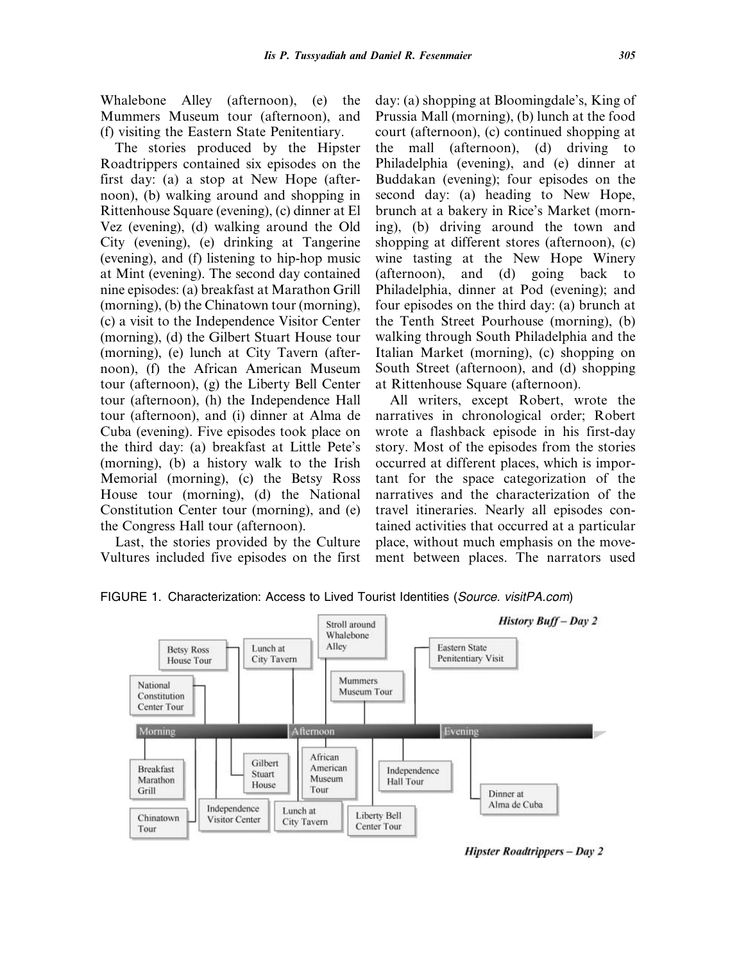Whalebone Alley (afternoon), (e) the Mummers Museum tour (afternoon), and (f) visiting the Eastern State Penitentiary.

The stories produced by the Hipster Roadtrippers contained six episodes on the first day: (a) a stop at New Hope (afternoon), (b) walking around and shopping in Rittenhouse Square (evening), (c) dinner at El Vez (evening), (d) walking around the Old City (evening), (e) drinking at Tangerine (evening), and (f) listening to hip-hop music at Mint (evening). The second day contained nine episodes: (a) breakfast at Marathon Grill (morning), (b) the Chinatown tour (morning), (c) a visit to the Independence Visitor Center (morning), (d) the Gilbert Stuart House tour (morning), (e) lunch at City Tavern (afternoon), (f) the African American Museum tour (afternoon), (g) the Liberty Bell Center tour (afternoon), (h) the Independence Hall tour (afternoon), and (i) dinner at Alma de Cuba (evening). Five episodes took place on the third day: (a) breakfast at Little Pete's (morning), (b) a history walk to the Irish Memorial (morning), (c) the Betsy Ross House tour (morning), (d) the National Constitution Center tour (morning), and (e) the Congress Hall tour (afternoon).

Last, the stories provided by the Culture Vultures included five episodes on the first day: (a) shopping at Bloomingdale's, King of Prussia Mall (morning), (b) lunch at the food court (afternoon), (c) continued shopping at the mall (afternoon), (d) driving to Philadelphia (evening), and (e) dinner at Buddakan (evening); four episodes on the second day: (a) heading to New Hope, brunch at a bakery in Rice's Market (morning), (b) driving around the town and shopping at different stores (afternoon), (c) wine tasting at the New Hope Winery (afternoon), and (d) going back to Philadelphia, dinner at Pod (evening); and four episodes on the third day: (a) brunch at the Tenth Street Pourhouse (morning), (b) walking through South Philadelphia and the Italian Market (morning), (c) shopping on South Street (afternoon), and (d) shopping at Rittenhouse Square (afternoon).

All writers, except Robert, wrote the narratives in chronological order; Robert wrote a flashback episode in his first-day story. Most of the episodes from the stories occurred at different places, which is important for the space categorization of the narratives and the characterization of the travel itineraries. Nearly all episodes contained activities that occurred at a particular place, without much emphasis on the movement between places. The narrators used



FIGURE 1. Characterization: Access to Lived Tourist Identities (Source. visitPA.com)

**Hipster Roadtrippers - Day 2**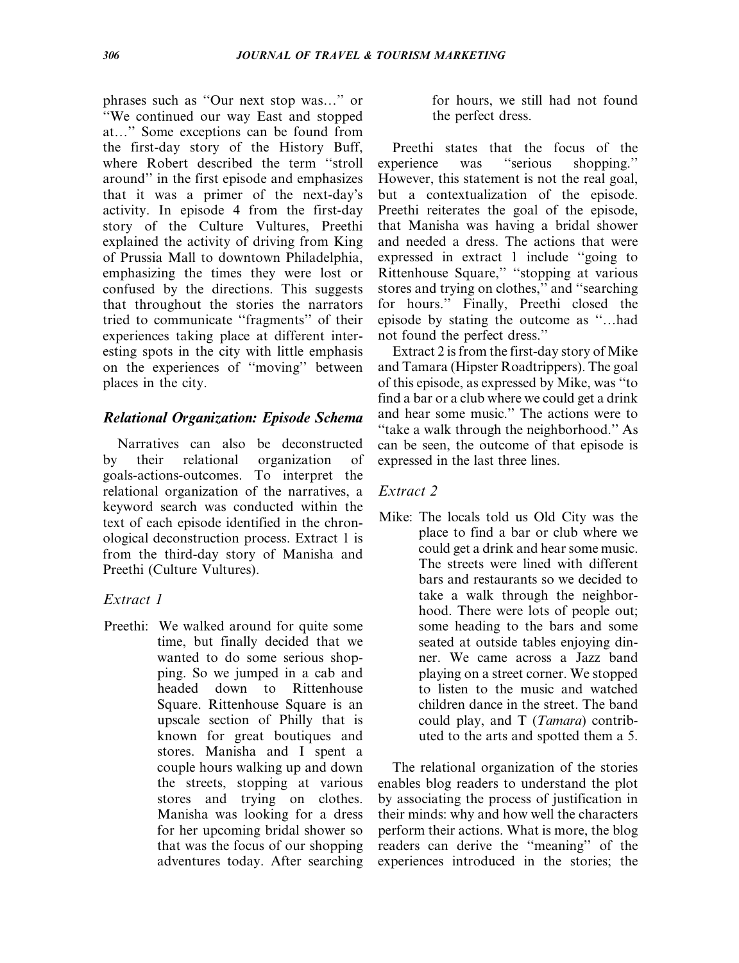phrases such as ''Our next stop was…'' or ''We continued our way East and stopped at…'' Some exceptions can be found from the first-day story of the History Buff, where Robert described the term ''stroll around'' in the first episode and emphasizes that it was a primer of the next-day's activity. In episode 4 from the first-day story of the Culture Vultures, Preethi explained the activity of driving from King of Prussia Mall to downtown Philadelphia, emphasizing the times they were lost or confused by the directions. This suggests that throughout the stories the narrators tried to communicate ''fragments'' of their experiences taking place at different interesting spots in the city with little emphasis on the experiences of ''moving'' between places in the city.

## Relational Organization: Episode Schema

Narratives can also be deconstructed by their relational organization of goals-actions-outcomes. To interpret the relational organization of the narratives, a keyword search was conducted within the text of each episode identified in the chronological deconstruction process. Extract 1 is from the third-day story of Manisha and Preethi (Culture Vultures).

## Extract 1

Preethi: We walked around for quite some time, but finally decided that we wanted to do some serious shopping. So we jumped in a cab and headed down to Rittenhouse Square. Rittenhouse Square is an upscale section of Philly that is known for great boutiques and stores. Manisha and I spent a couple hours walking up and down the streets, stopping at various stores and trying on clothes. Manisha was looking for a dress for her upcoming bridal shower so that was the focus of our shopping adventures today. After searching for hours, we still had not found the perfect dress.

Preethi states that the focus of the experience was ''serious shopping.'' However, this statement is not the real goal, but a contextualization of the episode. Preethi reiterates the goal of the episode, that Manisha was having a bridal shower and needed a dress. The actions that were expressed in extract 1 include ''going to Rittenhouse Square,'' ''stopping at various stores and trying on clothes,'' and ''searching for hours.'' Finally, Preethi closed the episode by stating the outcome as ''…had not found the perfect dress.''

Extract 2 is from the first-day story of Mike and Tamara (Hipster Roadtrippers). The goal of this episode, as expressed by Mike, was ''to find a bar or a club where we could get a drink and hear some music.'' The actions were to ''take a walk through the neighborhood.'' As can be seen, the outcome of that episode is expressed in the last three lines.

## Extract 2

Mike: The locals told us Old City was the place to find a bar or club where we could get a drink and hear some music. The streets were lined with different bars and restaurants so we decided to take a walk through the neighborhood. There were lots of people out; some heading to the bars and some seated at outside tables enjoying dinner. We came across a Jazz band playing on a street corner. We stopped to listen to the music and watched children dance in the street. The band could play, and T (*Tamara*) contributed to the arts and spotted them a 5.

The relational organization of the stories enables blog readers to understand the plot by associating the process of justification in their minds: why and how well the characters perform their actions. What is more, the blog readers can derive the ''meaning'' of the experiences introduced in the stories; the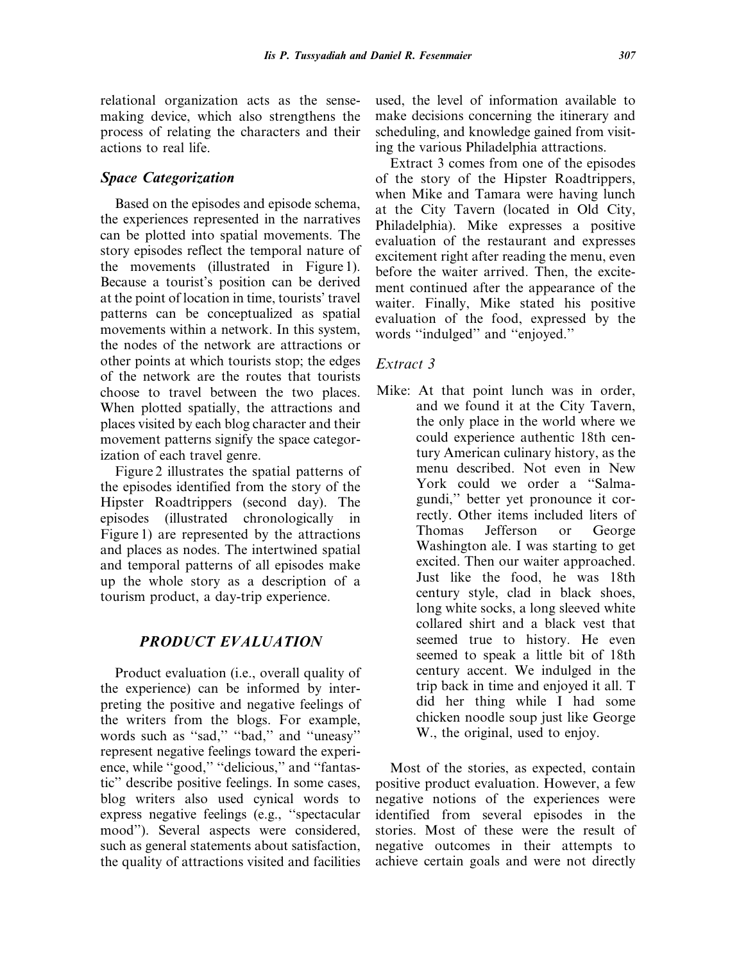relational organization acts as the sensemaking device, which also strengthens the process of relating the characters and their actions to real life.

#### Space Categorization

Based on the episodes and episode schema, the experiences represented in the narratives can be plotted into spatial movements. The story episodes reflect the temporal nature of the movements (illustrated in Figure 1). Because a tourist's position can be derived at the point of location in time, tourists' travel patterns can be conceptualized as spatial movements within a network. In this system, the nodes of the network are attractions or other points at which tourists stop; the edges of the network are the routes that tourists choose to travel between the two places. When plotted spatially, the attractions and places visited by each blog character and their movement patterns signify the space categorization of each travel genre.

Figure 2 illustrates the spatial patterns of the episodes identified from the story of the Hipster Roadtrippers (second day). The episodes (illustrated chronologically in Figure 1) are represented by the attractions and places as nodes. The intertwined spatial and temporal patterns of all episodes make up the whole story as a description of a tourism product, a day-trip experience.

## PRODUCT EVALUATION

Product evaluation (i.e., overall quality of the experience) can be informed by interpreting the positive and negative feelings of the writers from the blogs. For example, words such as "sad," "bad," and "uneasy" represent negative feelings toward the experience, while "good," "delicious," and "fantastic'' describe positive feelings. In some cases, blog writers also used cynical words to express negative feelings (e.g., ''spectacular mood''). Several aspects were considered, such as general statements about satisfaction, the quality of attractions visited and facilities

used, the level of information available to make decisions concerning the itinerary and scheduling, and knowledge gained from visiting the various Philadelphia attractions.

Extract 3 comes from one of the episodes of the story of the Hipster Roadtrippers, when Mike and Tamara were having lunch at the City Tavern (located in Old City, Philadelphia). Mike expresses a positive evaluation of the restaurant and expresses excitement right after reading the menu, even before the waiter arrived. Then, the excitement continued after the appearance of the waiter. Finally, Mike stated his positive evaluation of the food, expressed by the words ''indulged'' and ''enjoyed.''

#### Extract 3

Mike: At that point lunch was in order, and we found it at the City Tavern, the only place in the world where we could experience authentic 18th century American culinary history, as the menu described. Not even in New York could we order a "Salmagundi,'' better yet pronounce it correctly. Other items included liters of Thomas Jefferson or George Washington ale. I was starting to get excited. Then our waiter approached. Just like the food, he was 18th century style, clad in black shoes, long white socks, a long sleeved white collared shirt and a black vest that seemed true to history. He even seemed to speak a little bit of 18th century accent. We indulged in the trip back in time and enjoyed it all. T did her thing while I had some chicken noodle soup just like George W., the original, used to enjoy.

Most of the stories, as expected, contain positive product evaluation. However, a few negative notions of the experiences were identified from several episodes in the stories. Most of these were the result of negative outcomes in their attempts to achieve certain goals and were not directly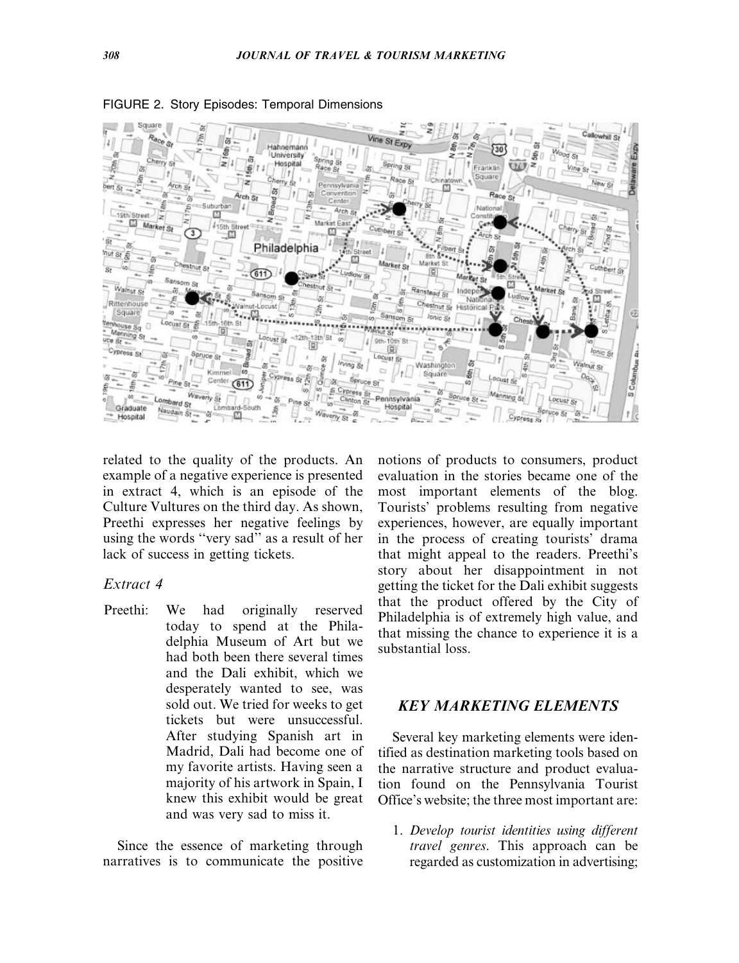

#### FIGURE 2. Story Episodes: Temporal Dimensions

related to the quality of the products. An example of a negative experience is presented in extract 4, which is an episode of the Culture Vultures on the third day. As shown, Preethi expresses her negative feelings by using the words ''very sad'' as a result of her lack of success in getting tickets.

#### Extract 4

Preethi: We had originally reserved today to spend at the Philadelphia Museum of Art but we had both been there several times and the Dali exhibit, which we desperately wanted to see, was sold out. We tried for weeks to get tickets but were unsuccessful. After studying Spanish art in Madrid, Dali had become one of my favorite artists. Having seen a majority of his artwork in Spain, I knew this exhibit would be great and was very sad to miss it.

Since the essence of marketing through narratives is to communicate the positive

notions of products to consumers, product evaluation in the stories became one of the most important elements of the blog. Tourists' problems resulting from negative experiences, however, are equally important in the process of creating tourists' drama that might appeal to the readers. Preethi's story about her disappointment in not getting the ticket for the Dali exhibit suggests that the product offered by the City of Philadelphia is of extremely high value, and that missing the chance to experience it is a substantial loss.

## KEY MARKETING ELEMENTS

Several key marketing elements were identified as destination marketing tools based on the narrative structure and product evaluation found on the Pennsylvania Tourist Office's website; the three most important are:

1. Develop tourist identities using different travel genres. This approach can be regarded as customization in advertising;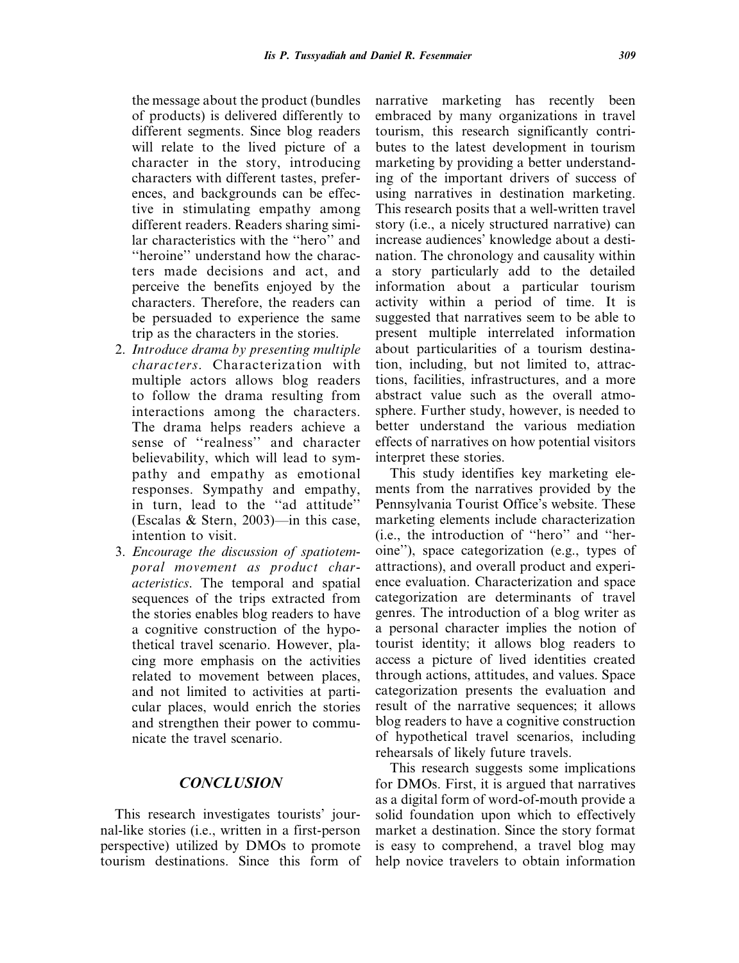the message about the product (bundles of products) is delivered differently to different segments. Since blog readers will relate to the lived picture of a character in the story, introducing characters with different tastes, preferences, and backgrounds can be effective in stimulating empathy among different readers. Readers sharing similar characteristics with the ''hero'' and ''heroine'' understand how the characters made decisions and act, and perceive the benefits enjoyed by the characters. Therefore, the readers can be persuaded to experience the same trip as the characters in the stories.

- 2. Introduce drama by presenting multiple characters. Characterization with multiple actors allows blog readers to follow the drama resulting from interactions among the characters. The drama helps readers achieve a sense of ''realness'' and character believability, which will lead to sympathy and empathy as emotional responses. Sympathy and empathy, in turn, lead to the ''ad attitude'' (Escalas & Stern, 2003)—in this case, intention to visit.
- 3. Encourage the discussion of spatiotemporal movement as product characteristics. The temporal and spatial sequences of the trips extracted from the stories enables blog readers to have a cognitive construction of the hypothetical travel scenario. However, placing more emphasis on the activities related to movement between places, and not limited to activities at particular places, would enrich the stories and strengthen their power to communicate the travel scenario.

## CONCLUSION

This research investigates tourists' journal-like stories (i.e., written in a first-person perspective) utilized by DMOs to promote tourism destinations. Since this form of narrative marketing has recently been embraced by many organizations in travel tourism, this research significantly contributes to the latest development in tourism marketing by providing a better understanding of the important drivers of success of using narratives in destination marketing. This research posits that a well-written travel story (i.e., a nicely structured narrative) can increase audiences' knowledge about a destination. The chronology and causality within a story particularly add to the detailed information about a particular tourism activity within a period of time. It is suggested that narratives seem to be able to present multiple interrelated information about particularities of a tourism destination, including, but not limited to, attractions, facilities, infrastructures, and a more abstract value such as the overall atmosphere. Further study, however, is needed to better understand the various mediation effects of narratives on how potential visitors interpret these stories.

This study identifies key marketing elements from the narratives provided by the Pennsylvania Tourist Office's website. These marketing elements include characterization (i.e., the introduction of ''hero'' and ''heroine''), space categorization (e.g., types of attractions), and overall product and experience evaluation. Characterization and space categorization are determinants of travel genres. The introduction of a blog writer as a personal character implies the notion of tourist identity; it allows blog readers to access a picture of lived identities created through actions, attitudes, and values. Space categorization presents the evaluation and result of the narrative sequences; it allows blog readers to have a cognitive construction of hypothetical travel scenarios, including rehearsals of likely future travels.

This research suggests some implications for DMOs. First, it is argued that narratives as a digital form of word-of-mouth provide a solid foundation upon which to effectively market a destination. Since the story format is easy to comprehend, a travel blog may help novice travelers to obtain information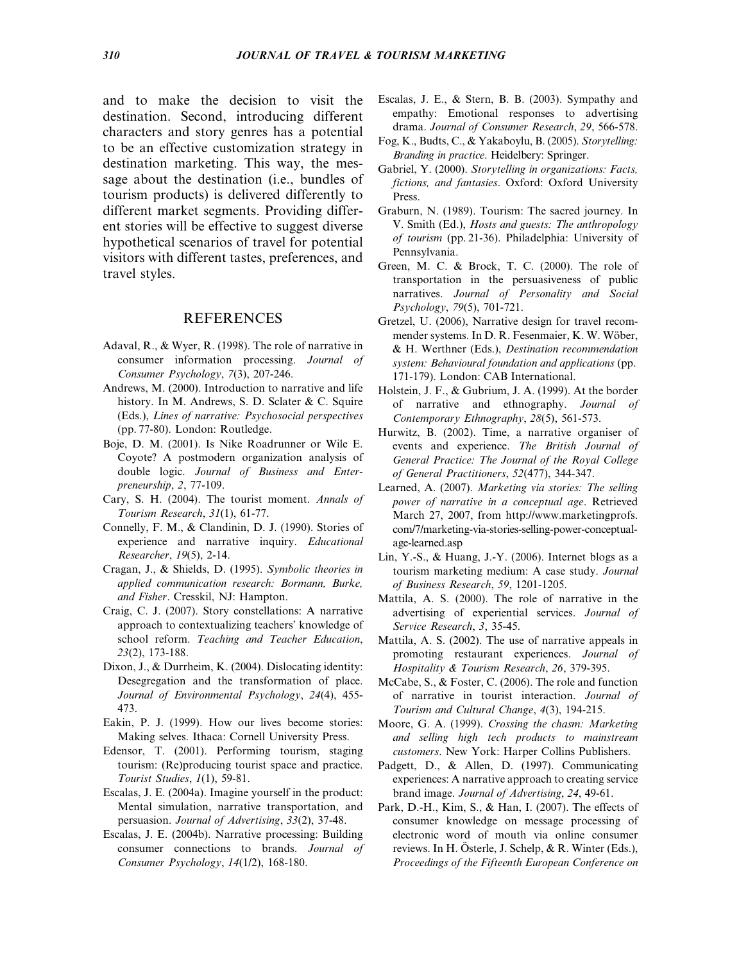and to make the decision to visit the destination. Second, introducing different characters and story genres has a potential to be an effective customization strategy in destination marketing. This way, the message about the destination (i.e., bundles of tourism products) is delivered differently to different market segments. Providing different stories will be effective to suggest diverse hypothetical scenarios of travel for potential visitors with different tastes, preferences, and travel styles.

#### **REFERENCES**

- Adaval, R., & Wyer, R. (1998). The role of narrative in consumer information processing. Journal of Consumer Psychology, 7(3), 207-246.
- Andrews, M. (2000). Introduction to narrative and life history. In M. Andrews, S. D. Sclater & C. Squire (Eds.), Lines of narrative: Psychosocial perspectives (pp. 77-80). London: Routledge.
- Boje, D. M. (2001). Is Nike Roadrunner or Wile E. Coyote? A postmodern organization analysis of double logic. Journal of Business and Enterpreneurship, 2, 77-109.
- Cary, S. H. (2004). The tourist moment. Annals of Tourism Research, 31(1), 61-77.
- Connelly, F. M., & Clandinin, D. J. (1990). Stories of experience and narrative inquiry. Educational Researcher, 19(5), 2-14.
- Cragan, J., & Shields, D. (1995). Symbolic theories in applied communication research: Bormann, Burke, and Fisher. Cresskil, NJ: Hampton.
- Craig, C. J. (2007). Story constellations: A narrative approach to contextualizing teachers' knowledge of school reform. Teaching and Teacher Education, 23(2), 173-188.
- Dixon, J., & Durrheim, K. (2004). Dislocating identity: Desegregation and the transformation of place. Journal of Environmental Psychology, 24(4), 455- 473.
- Eakin, P. J. (1999). How our lives become stories: Making selves. Ithaca: Cornell University Press.
- Edensor, T. (2001). Performing tourism, staging tourism: (Re)producing tourist space and practice. Tourist Studies, 1(1), 59-81.
- Escalas, J. E. (2004a). Imagine yourself in the product: Mental simulation, narrative transportation, and persuasion. Journal of Advertising, 33(2), 37-48.
- Escalas, J. E. (2004b). Narrative processing: Building consumer connections to brands. Journal of Consumer Psychology, 14(1/2), 168-180.
- Escalas, J. E., & Stern, B. B. (2003). Sympathy and empathy: Emotional responses to advertising drama. Journal of Consumer Research, 29, 566-578.
- Fog, K., Budts, C., & Yakaboylu, B. (2005). Storytelling: Branding in practice. Heidelbery: Springer.
- Gabriel, Y. (2000). Storytelling in organizations: Facts, fictions, and fantasies. Oxford: Oxford University Press.
- Graburn, N. (1989). Tourism: The sacred journey. In V. Smith (Ed.), Hosts and guests: The anthropology of tourism (pp. 21-36). Philadelphia: University of Pennsylvania.
- Green, M. C. & Brock, T. C. (2000). The role of transportation in the persuasiveness of public narratives. Journal of Personality and Social Psychology, 79(5), 701-721.
- Gretzel, U. (2006), Narrative design for travel recommender systems. In D. R. Fesenmaier, K. W. Wöber, & H. Werthner (Eds.), Destination recommendation system: Behavioural foundation and applications (pp. 171-179). London: CAB International.
- Holstein, J. F., & Gubrium, J. A. (1999). At the border of narrative and ethnography. Journal of Contemporary Ethnography, 28(5), 561-573.
- Hurwitz, B. (2002). Time, a narrative organiser of events and experience. The British Journal of General Practice: The Journal of the Royal College of General Practitioners, 52(477), 344-347.
- Learned, A. (2007). Marketing via stories: The selling power of narrative in a conceptual age. Retrieved March 27, 2007, from http://www.marketingprofs. com/7/marketing-via-stories-selling-power-conceptualage-learned.asp
- Lin, Y.-S., & Huang, J.-Y. (2006). Internet blogs as a tourism marketing medium: A case study. Journal of Business Research, 59, 1201-1205.
- Mattila, A. S. (2000). The role of narrative in the advertising of experiential services. Journal of Service Research, 3, 35-45.
- Mattila, A. S. (2002). The use of narrative appeals in promoting restaurant experiences. Journal of Hospitality & Tourism Research, 26, 379-395.
- McCabe, S., & Foster, C. (2006). The role and function of narrative in tourist interaction. Journal of Tourism and Cultural Change, 4(3), 194-215.
- Moore, G. A. (1999). Crossing the chasm: Marketing and selling high tech products to mainstream customers. New York: Harper Collins Publishers.
- Padgett, D., & Allen, D. (1997). Communicating experiences: A narrative approach to creating service brand image. Journal of Advertising, 24, 49-61.
- Park, D.-H., Kim, S., & Han, I. (2007). The effects of consumer knowledge on message processing of electronic word of mouth via online consumer reviews. In H. Österle, J. Schelp, & R. Winter (Eds.), Proceedings of the Fifteenth European Conference on